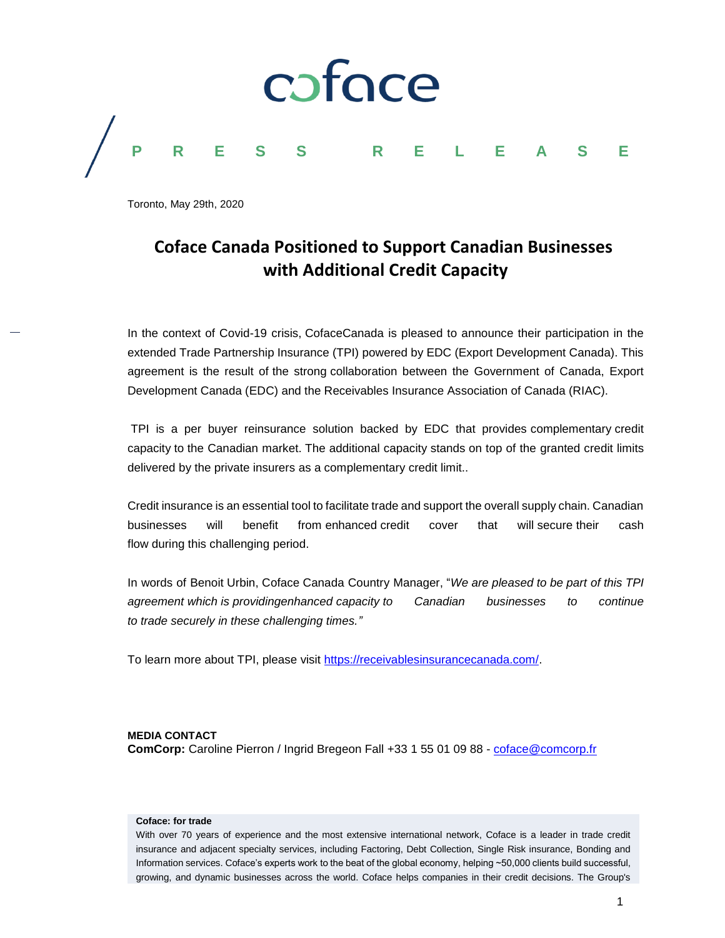

Toronto, May 29th, 2020

## **Coface Canada Positioned to Support Canadian Businesses with Additional Credit Capacity**

In the context of Covid-19 crisis, CofaceCanada is pleased to announce their participation in the extended Trade Partnership Insurance (TPI) powered by EDC (Export Development Canada). This agreement is the result of the strong collaboration between the Government of Canada, Export Development Canada (EDC) and the Receivables Insurance Association of Canada (RIAC).

TPI is a per buyer reinsurance solution backed by EDC that provides complementary credit capacity to the Canadian market. The additional capacity stands on top of the granted credit limits delivered by the private insurers as a complementary credit limit..

Credit insurance is an essential tool to facilitate trade and support the overall supply chain. Canadian businesses will benefit from enhanced credit cover that will secure their cash flow during this challenging period.

In words of Benoit Urbin, Coface Canada Country Manager, "*We are pleased to be part of this TPI agreement which is providingenhanced capacity to Canadian businesses to continue to trade securely in these challenging times."*

To learn more about TPI, please visit [https://receivablesinsurancecanada.com/.](https://receivablesinsurancecanada.com/)

## **MEDIA CONTACT ComCorp:** Caroline Pierron / Ingrid Bregeon Fall +33 1 55 01 09 88 - [coface@comcorp.fr](mailto:coface@comcorp.fr)

## **Coface: for trade**

With over 70 years of experience and the most extensive international network, Coface is a leader in trade credit insurance and adjacent specialty services, including Factoring, Debt Collection, Single Risk insurance, Bonding and Information services. Coface's experts work to the beat of the global economy, helping ~50,000 clients build successful, growing, and dynamic businesses across the world. Coface helps companies in their credit decisions. The Group's